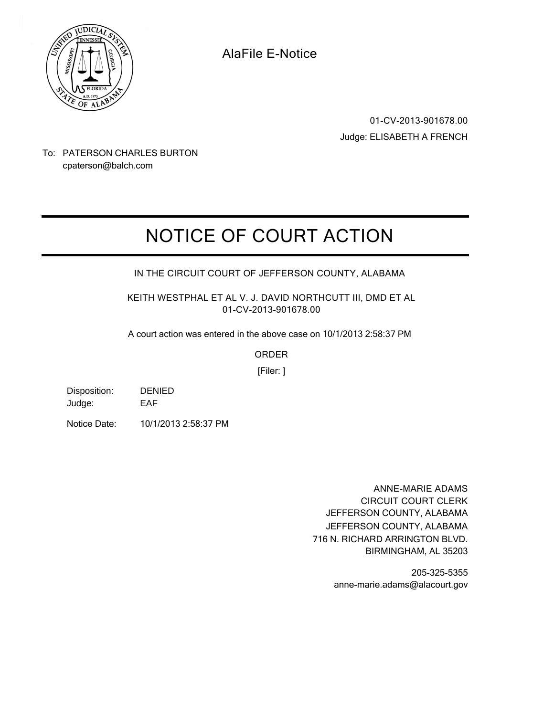

**AlaFile E-Notice**

**01-CV-2013-901678.00** Judge: ELISABETH A FRENCH

To: PATERSON CHARLES BURTON cpaterson@balch.com

## **NOTICE OF COURT ACTION**

## **IN THE CIRCUIT COURT OF JEFFERSON COUNTY, ALABAMA**

**KEITH WESTPHAL ET AL V. J. DAVID NORTHCUTT III, DMD ET AL 01-CV-2013-901678.00**

A court action was entered in the above case on 10/1/2013 2:58:37 PM

**ORDER**

[Filer: ]

| Disposition: | <b>DENIED</b> |
|--------------|---------------|
| Judge:       | EAF           |

Notice Date: 10/1/2013 2:58:37 PM

**ANNE-MARIE ADAMS CIRCUIT COURT CLERK** JEFFERSON COUNTY, ALABAMA 716 N. RICHARD ARRINGTON BLVD. BIRMINGHAM, AL 35203 JEFFERSON COUNTY, ALABAMA

> 205-325-5355 anne-marie.adams@alacourt.gov